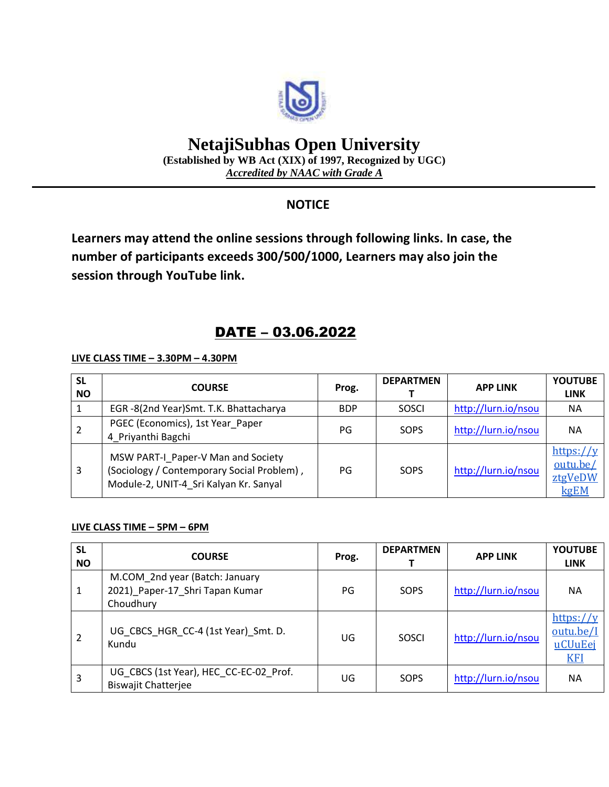

# **NetajiSubhas Open University**

**(Established by WB Act (XIX) of 1997, Recognized by UGC)** *Accredited by NAAC with Grade A*

### **NOTICE**

**Learners may attend the online sessions through following links. In case, the number of participants exceeds 300/500/1000, Learners may also join the session through YouTube link.**

## DATE – 03.06.2022

**LIVE CLASS TIME – 3.30PM – 4.30PM**

| <b>SL</b><br><b>NO</b> | <b>COURSE</b>                                                                                                              | Prog.      | <b>DEPARTMEN</b> | <b>APP LINK</b>     | <b>YOUTUBE</b><br><b>LINK</b>            |
|------------------------|----------------------------------------------------------------------------------------------------------------------------|------------|------------------|---------------------|------------------------------------------|
|                        | EGR-8(2nd Year)Smt. T.K. Bhattacharya                                                                                      | <b>BDP</b> | SOSCI            | http://lurn.io/nsou | <b>NA</b>                                |
|                        | PGEC (Economics), 1st Year Paper<br>4 Priyanthi Bagchi                                                                     | PG         | SOPS             | http://lurn.io/nsou | <b>NA</b>                                |
| 3                      | MSW PART-I_Paper-V Man and Society<br>(Sociology / Contemporary Social Problem),<br>Module-2, UNIT-4 Sri Kalyan Kr. Sanyal | PG         | SOPS             | http://lurn.io/nsou | https://y<br>outu.be/<br>ztgVeDW<br>kgEM |

#### **LIVE CLASS TIME – 5PM – 6PM**

| <b>SL</b><br><b>NO</b> | <b>COURSE</b>                                                                  | Prog. | <b>DEPARTMEN</b> | <b>APP LINK</b>     | <b>YOUTUBE</b><br><b>LINK</b>                   |
|------------------------|--------------------------------------------------------------------------------|-------|------------------|---------------------|-------------------------------------------------|
| 1                      | M.COM_2nd year (Batch: January<br>2021) Paper-17 Shri Tapan Kumar<br>Choudhury | PG    | SOPS             | http://lurn.io/nsou | ΝA                                              |
| 2                      | UG CBCS_HGR_CC-4 (1st Year)_Smt. D.<br>Kundu                                   | UG    | SOSCI            | http://lurn.io/nsou | https://y<br>outu.be/I<br>uCUuEei<br><u>KFI</u> |
| 3                      | UG CBCS (1st Year), HEC CC-EC-02 Prof.<br><b>Biswajit Chatterjee</b>           | UG    | <b>SOPS</b>      | http://lurn.io/nsou | <b>NA</b>                                       |